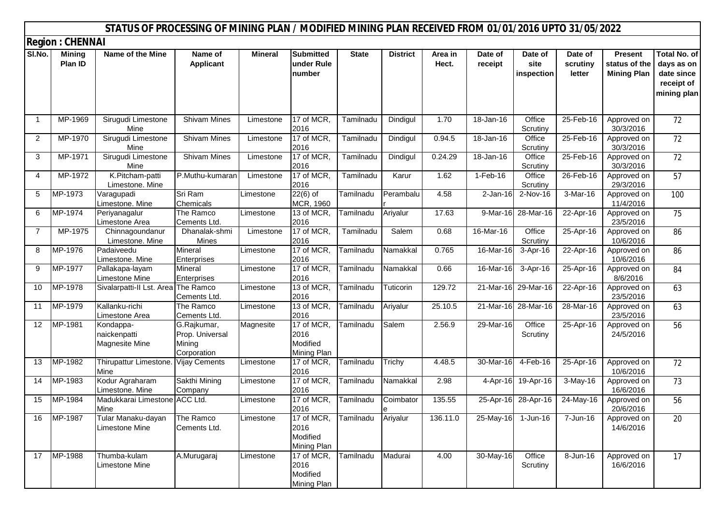|             |                               | STATUS OF PROCESSING OF MINING PLAN / MODIFIED MINING PLAN RECEIVED FROM 01/01/2016 UPTO 31/05/2022 |                                                         |                |                                               |              |                 |                  |                    |                               |                               |                                                |                                                                              |
|-------------|-------------------------------|-----------------------------------------------------------------------------------------------------|---------------------------------------------------------|----------------|-----------------------------------------------|--------------|-----------------|------------------|--------------------|-------------------------------|-------------------------------|------------------------------------------------|------------------------------------------------------------------------------|
|             | <b>Region : CHENNAI</b>       |                                                                                                     |                                                         |                |                                               |              |                 |                  |                    |                               |                               |                                                |                                                                              |
| SI.No.      | <b>Mining</b><br>Plan ID      | Name of the Mine                                                                                    | Name of<br><b>Applicant</b>                             | <b>Mineral</b> | <b>Submitted</b><br>under Rule<br>number      | <b>State</b> | <b>District</b> | Area in<br>Hect. | Date of<br>receipt | Date of<br>site<br>inspection | Date of<br>scrutiny<br>letter | Present<br>status of the<br><b>Mining Plan</b> | <b>Total No. of</b><br>days as on<br>date since<br>receipt of<br>mining plan |
| $\mathbf 1$ | MP-1969                       | Sirugudi Limestone<br>Mine                                                                          | <b>Shivam Mines</b>                                     | Limestone      | 17 of MCR.<br>2016                            | Tamilnadu    | Dindigul        | 1.70             | 18-Jan-16          | Office<br>Scrutiny            | 25-Feb-16                     | Approved on<br>30/3/2016                       | 72                                                                           |
| 2           | MP-1970                       | Sirugudi Limestone<br>Mine                                                                          | <b>Shivam Mines</b>                                     | Limestone      | 17 of MCR.<br>2016                            | Tamilnadu    | Dindigul        | 0.94.5           | 18-Jan-16          | Office<br>Scrutiny            | 25-Feb-16                     | Approved on<br>30/3/2016                       | 72                                                                           |
| 3           | MP-1971                       | Sirugudi Limestone<br>Mine                                                                          | <b>Shivam Mines</b>                                     | Limestone      | 17 of MCR,<br>2016                            | Tamilnadu    | Dindigul        | 0.24.29          | 18-Jan-16          | Office<br>Scrutiny            | 25-Feb-16                     | Approved on<br>30/3/2016                       | 72                                                                           |
| 4           | MP-1972                       | K.Pitcham-patti<br>Limestone. Mine                                                                  | P.Muthu-kumaran                                         | Limestone      | 17 of MCR<br>2016                             | Tamilnadu    | Karur           | 1.62             | 1-Feb-16           | Office<br>Scrutiny            | 26-Feb-16                     | Approved on<br>29/3/2016                       | 57                                                                           |
| 5           | $\overline{\mathsf{MP-1973}}$ | Varagupadi<br>Limestone. Mine                                                                       | Sri Ram<br>Chemicals                                    | Limestone      | $22(6)$ of<br>MCR, 1960                       | Tamilnadu    | Perambalu       | 4.58             | $2-Jan-16$         | 2-Nov-16                      | 3-Mar-16                      | Approved on<br>11/4/2016                       | 100                                                                          |
| 6           | MP-1974                       | Periyanagalur<br>Limestone Area                                                                     | The Ramco<br>Cements Ltd.                               | Limestone      | 13 of MCR,<br>2016                            | Tamilnadu    | Ariyalur        | 17.63            |                    | 9-Mar-16 28-Mar-16            | 22-Apr-16                     | Approved on<br>23/5/2016                       | 75                                                                           |
| 7           | MP-1975                       | Chinnagoundanur<br>Limestone. Mine                                                                  | Dhanalak-shmi<br>Mines                                  | Limestone      | 17 of MCR.<br>2016                            | Tamilnadu    | Salem           | 0.68             | 16-Mar-16          | Office<br>Scrutiny            | 25-Apr-16                     | Approved on<br>10/6/2016                       | 86                                                                           |
| 8           | MP-1976                       | Padaiveedu<br>Limestone. Mine                                                                       | Mineral<br>Enterprises                                  | Limestone      | 17 of MCR,<br>2016                            | Tamilnadu    | Namakkal        | 0.765            | 16-Mar-16          | 3-Apr-16                      | 22-Apr-16                     | Approved on<br>10/6/2016                       | 86                                                                           |
| 9           | MP-1977                       | Pallakapa-layam<br><b>Limestone Mine</b>                                                            | Mineral<br>Enterprises                                  | Limestone      | 17 of MCR,<br>2016                            | Tamilnadu    | Namakkal        | 0.66             | 16-Mar-16          | 3-Apr-16                      | 25-Apr-16                     | Approved on<br>8/6/2016                        | 84                                                                           |
| 10          | MP-1978                       | Sivalarpatti-II Lst. Area The Ramco                                                                 | Cements Ltd.                                            | Limestone      | 13 of MCR,<br>2016                            | Tamilnadu    | Tuticorin       | 129.72           |                    | 21-Mar-16 29-Mar-16           | 22-Apr-16                     | Approved on<br>23/5/2016                       | 63                                                                           |
| 11          | MP-1979                       | Kallanku-richi<br>Limestone Area                                                                    | The Ramco<br>Cements Ltd.                               | Limestone      | 13 of MCR,<br>2016                            | Tamilnadu    | Ariyalur        | 25.10.5          |                    | 21-Mar-16 28-Mar-16           | 28-Mar-16                     | Approved on<br>23/5/2016                       | 63                                                                           |
| 12          | MP-1981                       | Kondappa-<br>naickenpatti<br><b>Magnesite Mine</b>                                                  | G.Rajkumar,<br>Prop. Universal<br>Mining<br>Corporation | Magnesite      | 17 of MCR.<br>2016<br>Modified<br>Mining Plan | Tamilnadu    | Salem           | 2.56.9           | 29-Mar-16          | Office<br>Scrutiny            | $25-Apr-16$                   | Approved on<br>24/5/2016                       | 56                                                                           |
| 13          | MP-1982                       | Thirupattur Limestone.<br>Mine                                                                      | <b>Vijay Cements</b>                                    | Limestone      | 17 of MCR,<br>2016                            | Tamilnadu    | Trichy          | 4.48.5           | 30-Mar-16          | 4-Feb-16                      | 25-Apr-16                     | Approved on<br>10/6/2016                       | 72                                                                           |
| 14          | MP-1983                       | Kodur Agraharam<br>Limestone. Mine                                                                  | Sakthi Mining<br>Company                                | Limestone      | 17 of MCR,<br>2016                            | Tamilnadu    | Namakkal        | 2.98             |                    | 4-Apr-16 19-Apr-16            | 3-May-16                      | Approved on<br>16/6/2016                       | 73                                                                           |
| 15          | MP-1984                       | Madukkarai Limestone ACC Ltd.<br>Mine                                                               |                                                         | Limestone      | 17 of MCR,<br>2016                            | Tamilnadu    | Coimbator       | 135.55           |                    | 25-Apr-16 28-Apr-16           | 24-May-16                     | Approved on<br>20/6/2016                       | 56                                                                           |
| 16          | MP-1987                       | Tular Manaku-dayan<br><b>Limestone Mine</b>                                                         | The Ramco<br>Cements Ltd.                               | Limestone      | 17 of MCR,<br>2016<br>Modified<br>Mining Plan | Tamilnadu    | Ariyalur        | 136.11.0         |                    | 25-May-16 1-Jun-16            | 7-Jun-16                      | Approved on<br>14/6/2016                       | 20                                                                           |
| 17          | MP-1988                       | Thumba-kulam<br><b>Limestone Mine</b>                                                               | A.Murugaraj                                             | Limestone      | 17 of MCR,<br>2016<br>Modified<br>Mining Plan | Tamilnadu    | Madurai         | 4.00             | 30-May-16          | Office<br>Scrutiny            | 8-Jun-16                      | Approved on<br>16/6/2016                       | 17                                                                           |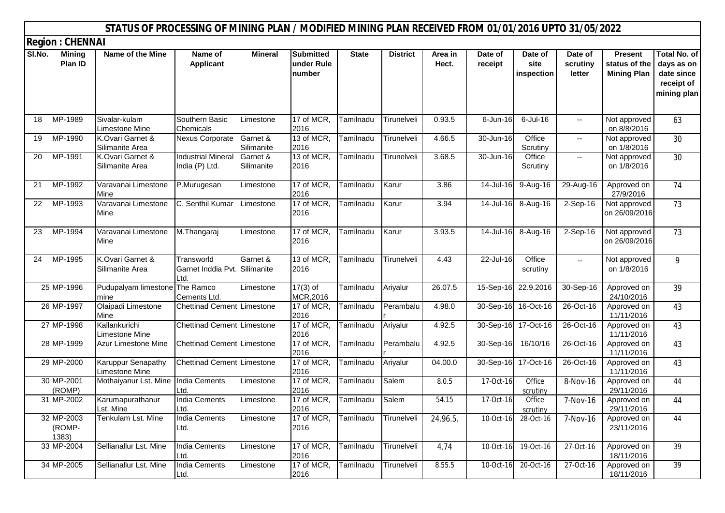|        |                                                    | STATUS OF PROCESSING OF MINING PLAN / MODIFIED MINING PLAN RECEIVED FROM 01/01/2016 UPTO 31/05/2022 |                                                    |                        |                                          |              |                 |                  |                    |                               |                               |                                                       |                                                                              |
|--------|----------------------------------------------------|-----------------------------------------------------------------------------------------------------|----------------------------------------------------|------------------------|------------------------------------------|--------------|-----------------|------------------|--------------------|-------------------------------|-------------------------------|-------------------------------------------------------|------------------------------------------------------------------------------|
| SI.No. | <b>Region: CHENNAI</b><br><b>Mining</b><br>Plan ID | Name of the Mine                                                                                    | Name of<br><b>Applicant</b>                        | <b>Mineral</b>         | <b>Submitted</b><br>under Rule<br>number | <b>State</b> | <b>District</b> | Area in<br>Hect. | Date of<br>receipt | Date of<br>site<br>inspection | Date of<br>scrutiny<br>letter | <b>Present</b><br>status of the<br><b>Mining Plan</b> | <b>Total No. of</b><br>days as on<br>date since<br>receipt of<br>mining plan |
| 18     | MP-1989                                            | Sivalar-kulam<br><b>Limestone Mine</b>                                                              | Southern Basic<br>Chemicals                        | Limestone              | 17 of MCR<br>2016                        | Tamilnadu    | Tirunelveli     | 0.93.5           | $6$ -Jun-16        | $6$ -Jul-16                   | $\overline{\phantom{a}}$      | Not approved<br>on 8/8/2016                           | 63                                                                           |
| 19     | MP-1990                                            | K.Ovari Garnet &<br>Silimanite Area                                                                 | Nexus Corporate                                    | Garnet &<br>Silimanite | 13 of MCR,<br>2016                       | Tamilnadu    | Tirunelveli     | 4.66.5           | 30-Jun-16          | Office<br>Scrutiny            | $\overline{\phantom{a}}$      | Not approved<br>on 1/8/2016                           | 30                                                                           |
| 20     | MP-1991                                            | K.Ovari Garnet &<br>Silimanite Area                                                                 | <b>Industrial Mineral</b><br>India (P) Ltd.        | Garnet &<br>Silimanite | 13 of MCR,<br>2016                       | Tamilnadu    | Tirunelveli     | 3.68.5           | 30-Jun-16          | Office<br>Scrutiny            | $\overline{\phantom{a}}$      | Not approved<br>on 1/8/2016                           | 30                                                                           |
| 21     | MP-1992                                            | Varavanai Limestone<br>Mine                                                                         | P.Murugesan                                        | Limestone              | 17 of MCR,<br>2016                       | Tamilnadu    | Karur           | 3.86             | 14-Jul-16          | $\overline{9}$ -Aug-16        | 29-Aug-16                     | Approved on<br>27/9/2016                              | 74                                                                           |
| 22     | MP-1993                                            | Varavanai Limestone<br>Mine                                                                         | C. Senthil Kumar                                   | Limestone              | 17 of MCR,<br>2016                       | Tamilnadu    | Karur           | 3.94             | 14-Jul-16          | 8-Aug-16                      | $2-Sep-16$                    | Not approved<br>on 26/09/2016                         | 73                                                                           |
| 23     | MP-1994                                            | Varavanai Limestone<br>Mine                                                                         | M.Thangaraj                                        | Limestone              | 17 of MCR,<br>2016                       | Tamilnadu    | Karur           | 3.93.5           | 14-Jul-16          | 8-Aug-16                      | $2-Sep-16$                    | Not approved<br>on 26/09/2016                         | 73                                                                           |
| 24     | MP-1995                                            | K.Ovari Garnet &<br>Silimanite Area                                                                 | Transworld<br>Garnet Inddia Pvt. Silimanite<br>Ltd | Garnet &               | 13 of MCR,<br>2016                       | Tamilnadu    | Tirunelveli     | 4.43             | 22-Jul-16          | Office<br>scrutiny            | $\mathbf{L}$                  | Not approved<br>on 1/8/2016                           | 9                                                                            |
|        | 25 MP-1996                                         | Pudupalyam limestone The Ramco<br>mine                                                              | Cements Ltd.                                       | Limestone              | $17(3)$ of<br>MCR, 2016                  | Tamilnadu    | Ariyalur        | 26.07.5          | 15-Sep-16          | 22.9.2016                     | 30-Sep-16                     | Approved on<br>24/10/2016                             | 39                                                                           |
|        | 26 MP-1997                                         | Olaipadi Limestone<br>Mine                                                                          | Chettinad Cement Limestone                         |                        | 17 of MCR,<br>2016                       | Tamilnadu    | Perambalu       | 4.98.0           |                    | 30-Sep-16 16-Oct-16           | 26-Oct-16                     | Approved on<br>11/11/2016                             | 43                                                                           |
|        | 27 MP-1998                                         | Kallankurichi<br>Limestone Mine                                                                     | <b>Chettinad Cement Limestone</b>                  |                        | 17 of MCR,<br>2016                       | Tamilnadu    | Ariyalur        | 4.92.5           |                    | 30-Sep-16 17-Oct-16           | 26-Oct-16                     | Approved on<br>11/11/2016                             | 43                                                                           |
|        | 28 MP-1999                                         | Azur Limestone Mine                                                                                 | <b>Chettinad Cement Limestone</b>                  |                        | 17 of MCR,<br>2016                       | Tamilnadu    | Perambalu       | 4.92.5           | $30 - Sep-16$      | 16/10/16                      | 26-Oct-16                     | Approved on<br>11/11/2016                             | 43                                                                           |
|        | 29 MP-2000                                         | <b>Karuppur Senapathy</b><br><b>Limestone Mine</b>                                                  | <b>Chettinad Cement Limestone</b>                  |                        | 17 of MCR,<br>2016                       | Tamilnadu    | Ariyalur        | 04.00.0          |                    | 30-Sep-16 17-Oct-16           | 26-Oct-16                     | Approved on<br>11/11/2016                             | 43                                                                           |
|        | 30 MP-2001<br>(ROMP)                               | Mothaiyanur Lst. Mine India Cements                                                                 | Ltd.                                               | Limestone              | 17 of MCR,<br>2016                       | Tamilnadu    | Salem           | 8.0.5            | 17-Oct-16          | Office<br>scrutiny            | 8-Nov-16                      | Approved on<br>29/11/2016                             | 44                                                                           |
|        | 31 MP-2002                                         | Karumapurathanur<br>Lst. Mine                                                                       | <b>India Cements</b><br>Ltd.                       | Limestone              | 17 of MCR,<br>2016                       | Tamilnadu    | Salem           | 54.15            | 17-Oct-16          | Office<br>scrutiny            | 7-Nov-16                      | Approved on<br>29/11/2016                             | 44                                                                           |
|        | 32 MP-2003<br>(ROMP-<br>1383)                      | Tenkulam Lst. Mine                                                                                  | <b>India Cements</b><br>Ltd.                       | Limestone              | 17 of MCR,<br>2016                       | Tamilnadu    | Tirunelveli     | 24.96.5.         |                    | 10-Oct-16 28-Oct-16           | 7-Nov-16                      | Approved on<br>23/11/2016                             | 44                                                                           |
|        | 33 MP-2004                                         | Sellianallur Lst. Mine                                                                              | <b>India Cements</b><br>Ltd.                       | Limestone              | 17 of MCR,<br>2016                       | Tamilnadu    | Tirunelveli     | 4.74             |                    | 10-Oct-16 19-Oct-16           | 27-Oct-16                     | Approved on<br>18/11/2016                             | 39                                                                           |
|        | 34 MP-2005                                         | Sellianallur Lst. Mine                                                                              | <b>India Cements</b><br>Ltd.                       | Limestone              | 17 of MCR,<br>2016                       | Tamilnadu    | Tirunelveli     | 8.55.5           |                    | 10-Oct-16 20-Oct-16           | 27-Oct-16                     | Approved on<br>18/11/2016                             | 39                                                                           |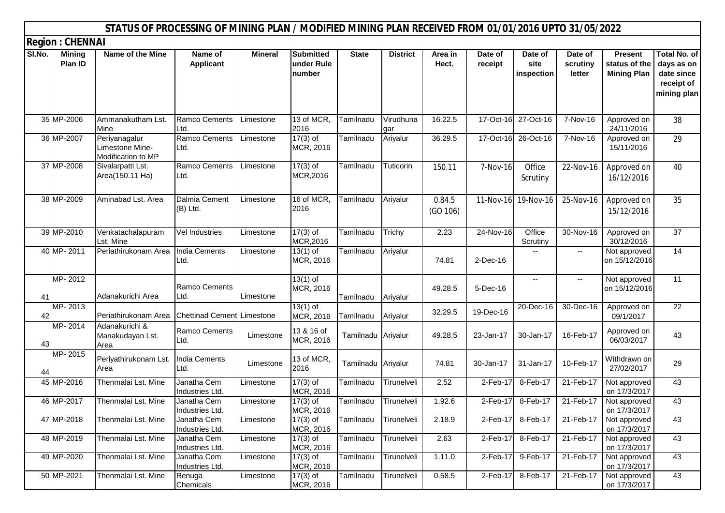|        |                                | STATUS OF PROCESSING OF MINING PLAN / MODIFIED MINING PLAN RECEIVED FROM 01/01/2016 UPTO 31/05/2022 |                                   |                |                                          |                    |                  |                    |                    |                               |                               |                                                       |                                                                              |
|--------|--------------------------------|-----------------------------------------------------------------------------------------------------|-----------------------------------|----------------|------------------------------------------|--------------------|------------------|--------------------|--------------------|-------------------------------|-------------------------------|-------------------------------------------------------|------------------------------------------------------------------------------|
|        | <b>Region: CHENNAI</b>         |                                                                                                     |                                   |                |                                          |                    |                  |                    |                    |                               |                               |                                                       |                                                                              |
| SI.No. | <b>Mining</b><br>Plan ID       | Name of the Mine                                                                                    | Name of<br><b>Applicant</b>       | <b>Mineral</b> | <b>Submitted</b><br>under Rule<br>number | <b>State</b>       | <b>District</b>  | Area in<br>Hect.   | Date of<br>receipt | Date of<br>site<br>inspection | Date of<br>scrutiny<br>letter | <b>Present</b><br>status of the<br><b>Mining Plan</b> | <b>Total No. of</b><br>days as on<br>date since<br>receipt of<br>mining plan |
|        | 35 MP-2006                     | Ammanakutham Lst.<br>Mine                                                                           | Ramco Cements<br>Ltd.             | Limestone      | 13 of MCR.<br>2016                       | Tamilnadu          | Virudhuna<br>gar | 16.22.5            | 17-Oct-16          | 27-Oct-16                     | 7-Nov-16                      | Approved on<br>24/11/2016                             | 38                                                                           |
|        | 36 MP-2007                     | Periyanagalur<br>Limestone Mine-<br>Modification to MP                                              | <b>Ramco Cements</b><br>Ltd.      | Limestone      | $17(3)$ of<br>MCR, 2016                  | Tamilnadu          | Ariyalur         | 36.29.5            |                    | 17-Oct-16 26-Oct-16           | $\overline{7}$ -Nov-16        | Approved on<br>15/11/2016                             | 29                                                                           |
|        | 37 MP-2008                     | Sivalarpatti Lst.<br>Area(150.11 Ha)                                                                | Ramco Cements<br>Ltd.             | Limestone      | $17(3)$ of<br>MCR, 2016                  | Tamilnadu          | Tuticorin        | 150.11             | 7-Nov-16           | Office<br>Scrutiny            | 22-Nov-16                     | Approved on<br>16/12/2016                             | 40                                                                           |
|        | 38 MP-2009                     | Aminabad Lst. Area                                                                                  | Dalmia Cement<br>(B) Ltd.         | Limestone      | 16 of MCR,<br>2016                       | Tamilnadu          | Ariyalur         | 0.84.5<br>(GO 106) |                    | 11-Nov-16 19-Nov-16           | 25-Nov-16                     | Approved on<br>15/12/2016                             | 35                                                                           |
|        | 39 MP-2010                     | Venkatachalapuram<br>Lst. Mine                                                                      | <b>Vel Industries</b>             | Limestone      | $17(3)$ of<br>MCR, 2016                  | Tamilnadu          | Trichy           | 2.23               | 24-Nov-16          | Office<br>Scrutiny            | 30-Nov-16                     | Approved on<br>30/12/2016                             | 37                                                                           |
|        | 40 MP-2011                     | Periathirukonam Area                                                                                | <b>India Cements</b><br>Ltd.      | Limestone      | $13(1)$ of<br>MCR, 2016                  | Tamilnadu          | Ariyalur         | 74.81              | $2$ -Dec-16        |                               | ۰.                            | Not approved<br>on 15/12/2016                         | 14                                                                           |
| 41     | MP-2012                        | Adanakurichi Area                                                                                   | <b>Ramco Cements</b><br>Ltd.      | Limestone      | $13(1)$ of<br>MCR, 2016                  | Tamilnadu          | Ariyalur         | 49.28.5            | 5-Dec-16           | $\overline{\phantom{a}}$      | ۰.                            | Not approved<br>on 15/12/2016                         | 11                                                                           |
| 42     | MP-2013                        | Periathirukonam Area                                                                                | <b>Chettinad Cement Limestone</b> |                | $13(1)$ of<br>MCR, 2016                  | Tamilnadu          | Ariyalur         | 32.29.5            | 19-Dec-16          | 20-Dec-16                     | 30-Dec-16                     | Approved on<br>09/1/2017                              | 22                                                                           |
| 43     | $\overline{\mathsf{MP}}$ -2014 | Adanakurichi &<br>Manakudayan Lst.<br>Area                                                          | <b>Ramco Cements</b><br>Ltd.      | Limestone      | 13 & 16 of<br>MCR, 2016                  | Tamilnadu Ariyalur |                  | 49.28.5            | 23-Jan-17          | 30-Jan-17                     | 16-Feb-17                     | Approved on<br>06/03/2017                             | 43                                                                           |
| 44     | MP-2015                        | Periyathirukonam Lst.<br>Area                                                                       | <b>India Cements</b><br>Ltd.      | Limestone      | 13 of MCR,<br>2016                       | Tamilnadu Ariyalur |                  | 74.81              | 30-Jan-17          | 31-Jan-17                     | 10-Feb-17                     | Withdrawn on<br>27/02/2017                            | 29                                                                           |
|        | 45 MP-2016                     | Thenmalai Lst. Mine                                                                                 | Janatha Cem<br>Industries Ltd.    | Limestone      | $17(3)$ of<br>MCR, 2016                  | Tamilnadu          | Tirunelveli      | 2.52               | $2-Feb-17$         | 8-Feb-17                      | 21-Feb-17                     | Not approved<br>on 17/3/2017                          | 43                                                                           |
|        | 46 MP-2017                     | Thenmalai Lst. Mine                                                                                 | Janatha Cem<br>Industries Ltd.    | Limestone      | $17(3)$ of<br>MCR, 2016                  | Tamilnadu          | Tirunelveli      | 1.92.6             | 2-Feb-17           | 8-Feb-17                      | 21-Feb-17                     | Not approved<br>on 17/3/2017                          | 43                                                                           |
|        | 47 MP-2018                     | Thenmalai Lst. Mine                                                                                 | Janatha Cem<br>Industries Ltd.    | Limestone      | $17(3)$ of<br>MCR, 2016                  | Tamilnadu          | Tirunelveli      | 2.18.9             | 2-Feb-17           | 8-Feb-17                      | 21-Feb-17                     | Not approved<br>on 17/3/2017                          | 43                                                                           |
|        | 48 MP-2019                     | Thenmalai Lst. Mine                                                                                 | Janatha Cem<br>Industries Ltd.    | Limestone      | $17(3)$ of<br>MCR, 2016                  | Tamilnadu          | Tirunelveli      | 2.63               | 2-Feb-17           | 8-Feb-17                      | 21-Feb-17                     | Not approved<br>on 17/3/2017                          | 43                                                                           |
|        | 49 MP-2020                     | Thenmalai Lst. Mine                                                                                 | Janatha Cem<br>Industries Ltd.    | Limestone      | $17(3)$ of<br>MCR, 2016                  | Tamilnadu          | Tirunelveli      | 1.11.0             | $2$ -Feb-17        | 9-Feb-17                      | 21-Feb-17                     | Not approved<br>on 17/3/2017                          | 43                                                                           |
|        | 50 MP-2021                     | Thenmalai Lst. Mine                                                                                 | Renuga<br>Chemicals               | Limestone      | $17(3)$ of<br>MCR, 2016                  | Tamilnadu          | Tirunelveli      | 0.58.5             | 2-Feb-17           | 8-Feb-17                      | 21-Feb-17                     | Not approved<br>on 17/3/2017                          | 43                                                                           |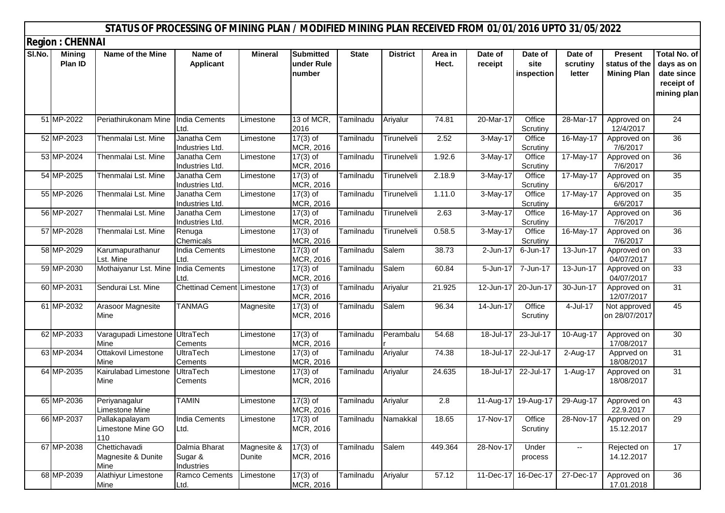|        |                          | STATUS OF PROCESSING OF MINING PLAN / MODIFIED MINING PLAN RECEIVED FROM 01/01/2016 UPTO 31/05/2022 |                                        |                       |                                          |              |                 |                  |                        |                               |                               |                                                       |                                                                              |
|--------|--------------------------|-----------------------------------------------------------------------------------------------------|----------------------------------------|-----------------------|------------------------------------------|--------------|-----------------|------------------|------------------------|-------------------------------|-------------------------------|-------------------------------------------------------|------------------------------------------------------------------------------|
|        | <b>Region: CHENNAI</b>   |                                                                                                     |                                        |                       |                                          |              |                 |                  |                        |                               |                               |                                                       |                                                                              |
| SI.No. | <b>Mining</b><br>Plan ID | Name of the Mine                                                                                    | Name of<br><b>Applicant</b>            | Mineral               | <b>Submitted</b><br>under Rule<br>number | <b>State</b> | <b>District</b> | Area in<br>Hect. | Date of<br>receipt     | Date of<br>site<br>inspection | Date of<br>scrutiny<br>letter | <b>Present</b><br>status of the<br><b>Mining Plan</b> | <b>Total No. of</b><br>days as on<br>date since<br>receipt of<br>mining plan |
|        | 51 MP-2022               | Periathirukonam Mine                                                                                | <b>India Cements</b><br>Ltd.           | Limestone             | 13 of MCR,<br>2016                       | Tamilnadu    | Ariyalur        | 74.81            | 20-Mar-17              | Office<br>Scrutiny            | 28-Mar-17                     | Approved on<br>12/4/2017                              | 24                                                                           |
|        | 52 MP-2023               | Thenmalai Lst. Mine                                                                                 | Janatha Cem<br>Industries Ltd.         | Limestone             | $17(3)$ of<br>MCR, 2016                  | Tamilnadu    | Tirunelveli     | 2.52             | 3-May-17               | Office<br>Scrutiny            | 16-May-17                     | Approved on<br>7/6/2017                               | 36                                                                           |
|        | 53 MP-2024               | Thenmalai Lst. Mine                                                                                 | Janatha Cem<br>Industries Ltd.         | Limestone             | $17(3)$ of<br>MCR, 2016                  | Tamilnadu    | Tirunelveli     | 1.92.6           | 3-May-17               | Office<br>Scrutiny            | 17-May-17                     | Approved on<br>7/6/2017                               | 36                                                                           |
|        | 54 MP-2025               | Thenmalai Lst. Mine                                                                                 | Janatha Cem<br>Industries Ltd.         | Limestone             | $17(3)$ of<br>MCR, 2016                  | Tamilnadu    | Tirunelveli     | 2.18.9           | 3-May-17               | Office<br>Scrutiny            | 17-May-17                     | Approved on<br>6/6/2017                               | $\overline{35}$                                                              |
|        | 55 MP-2026               | Thenmalai Lst. Mine                                                                                 | Janatha Cem<br>Industries Ltd.         | Limestone             | $17(3)$ of<br>MCR, 2016                  | Tamilnadu    | Tirunelveli     | 1.11.0           | 3-May-17               | Office<br>Scrutiny            | 17-May-17                     | Approved on<br>6/6/2017                               | 35                                                                           |
|        | 56 MP-2027               | Thenmalai Lst. Mine                                                                                 | Janatha Cem<br>Industries Ltd.         | Limestone             | $17(3)$ of<br>MCR, 2016                  | Tamilnadu    | Tirunelveli     | 2.63             | $\overline{3}$ -May-17 | Office<br>Scrutiny            | 16-May-17                     | Approved on<br>7/6/2017                               | 36                                                                           |
|        | 57 MP-2028               | Thenmalai Lst. Mine                                                                                 | Renuga<br>Chemicals                    | Limestone             | $17(3)$ of<br>MCR, 2016                  | Tamilnadu    | Tirunelveli     | 0.58.5           | 3-May-17               | Office<br>Scrutiny            | $16$ -May-17                  | Approved on<br>7/6/2017                               | 36                                                                           |
|        | 58 MP-2029               | Karumapurathanur<br>Lst. Mine                                                                       | India Cements<br>Ltd.                  | Limestone             | $17(3)$ of<br>MCR, 2016                  | Tamilnadu    | Salem           | 38.73            | $2$ -Jun-17            | 6-Jun-17                      | $13 - Jun-17$                 | Approved on<br>04/07/2017                             | $\overline{33}$                                                              |
|        | 59 MP-2030               | Mothaiyanur Lst. Mine                                                                               | <b>India Cements</b><br>Ltd.           | Limestone             | $17(3)$ of<br>MCR, 2016                  | Tamilnadu    | Salem           | 60.84            | 5-Jun-17               | 7-Jun-17                      | 13-Jun-17                     | Approved on<br>04/07/2017                             | $\overline{33}$                                                              |
|        | 60 MP-2031               | Sendurai Lst. Mine                                                                                  | Chettinad Cement Limestone             |                       | $17(3)$ of<br>MCR, 2016                  | Tamilnadu    | Ariyalur        | 21.925           | 12-Jun-17              | 20-Jun-17                     | 30-Jun-17                     | Approved on<br>12/07/2017                             | 31                                                                           |
|        | 61 MP-2032               | Arasoor Magnesite<br>Mine                                                                           | <b>TANMAG</b>                          | Magnesite             | $17(3)$ of<br>MCR, 2016                  | Tamilnadu    | Salem           | 96.34            | 14-Jun-17              | Office<br>Scrutiny            | 4-Jul-17                      | Not approved<br>on 28/07/2017                         | 45                                                                           |
|        | 62 MP-2033               | Varagupadi Limestone UltraTech<br>Mine                                                              | Cements                                | Limestone             | $17(3)$ of<br>MCR, 2016                  | Tamilnadu    | Perambalu       | 54.68            | 18-Jul-17              | 23-Jul-17                     | 10-Aug-17                     | Approved on<br>17/08/2017                             | 30                                                                           |
|        | 63 MP-2034               | Ottakovil Limestone<br>Mine                                                                         | <b>UltraTech</b><br>Cements            | Limestone             | $17(3)$ of<br>MCR, 2016                  | Tamilnadu    | Ariyalur        | 74.38            | 18-Jul-17              | 22-Jul-17                     | 2-Aug-17                      | Apprved on<br>18/08/2017                              | 31                                                                           |
|        | 64 MP-2035               | Kairulabad Limestone<br>Mine                                                                        | <b>UltraTech</b><br>Cements            | Limestone             | $17(3)$ of<br>MCR, 2016                  | Tamilnadu    | Ariyalur        | 24.635           | 18-Jul-17              | 22-Jul-17                     | 1-Aug-17                      | Approved on<br>18/08/2017                             | 31                                                                           |
|        | 65 MP-2036               | Periyanagalur<br>Limestone Mine                                                                     | <b>TAMIN</b>                           | Limestone             | $17(3)$ of<br>MCR, 2016                  | Tamilnadu    | Ariyalur        | 2.8              |                        | 11-Aug-17 19-Aug-17           | $\overline{29}$ -Aug-17       | Approved on<br>22.9.2017                              | 43                                                                           |
|        | 66 MP-2037               | Pallakapalayam<br>Limestone Mine GO<br>110                                                          | India Cements<br>Ltd.                  | Limestone             | $17(3)$ of<br>MCR, 2016                  | Tamilnadu    | Namakkal        | 18.65            | 17-Nov-17              | Office<br>Scrutiny            | 28-Nov-17                     | Approved on<br>15.12.2017                             | 29                                                                           |
|        | 67 MP-2038               | Chettichavadi<br>Magnesite & Dunite<br>Mine                                                         | Dalmia Bharat<br>Sugar &<br>Industries | Magnesite &<br>Dunite | $17(3)$ of<br>MCR, 2016                  | Tamilnadu    | Salem           | 449.364          | 28-Nov-17              | Under<br>process              | --                            | Rejected on<br>14.12.2017                             | 17                                                                           |
|        | 68 MP-2039               | Alathiyur Limestone<br>Mine                                                                         | Ramco Cements<br>Ltd.                  | Limestone             | $17(3)$ of<br>MCR, 2016                  | Tamilnadu    | Ariyalur        | 57.12            | 11-Dec-17              | 16-Dec-17                     | $\overline{27}$ -Dec-17       | Approved on<br>17.01.2018                             | 36                                                                           |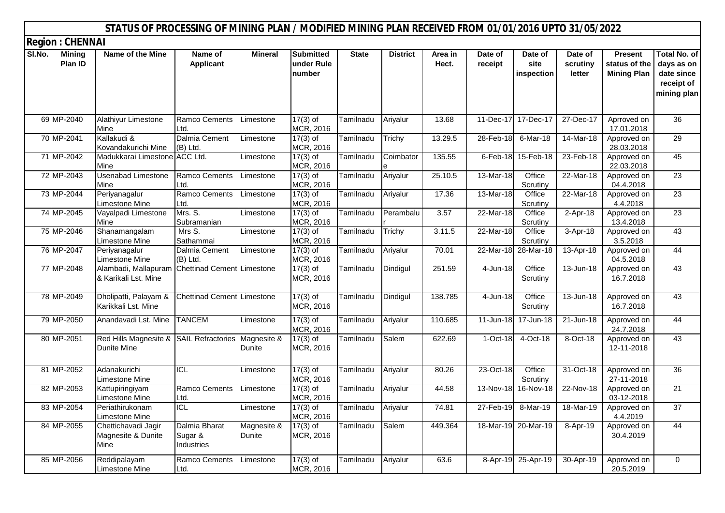|        |                          | STATUS OF PROCESSING OF MINING PLAN / MODIFIED MINING PLAN RECEIVED FROM 01/01/2016 UPTO 31/05/2022 |                                        |                       |                                          |              |                 |                  |                    |                               |                               |                                                       |                                                                              |
|--------|--------------------------|-----------------------------------------------------------------------------------------------------|----------------------------------------|-----------------------|------------------------------------------|--------------|-----------------|------------------|--------------------|-------------------------------|-------------------------------|-------------------------------------------------------|------------------------------------------------------------------------------|
|        | <b>Region: CHENNAI</b>   |                                                                                                     |                                        |                       |                                          |              |                 |                  |                    |                               |                               |                                                       |                                                                              |
| SI.No. | <b>Mining</b><br>Plan ID | Name of the Mine                                                                                    | Name of<br><b>Applicant</b>            | <b>Mineral</b>        | <b>Submitted</b><br>under Rule<br>number | <b>State</b> | <b>District</b> | Area in<br>Hect. | Date of<br>receipt | Date of<br>site<br>inspection | Date of<br>scrutiny<br>letter | <b>Present</b><br>status of the<br><b>Mining Plan</b> | <b>Total No. of</b><br>days as on<br>date since<br>receipt of<br>mining plan |
|        | 69 MP-2040               | Alathiyur Limestone<br>Mine                                                                         | Ramco Cements<br>Ltd.                  | Limestone             | $17(3)$ of<br>MCR, 2016                  | Tamilnadu    | Ariyalur        | 13.68            |                    | 11-Dec-17 17-Dec-17           | 27-Dec-17                     | Aprroved on<br>17.01.2018                             | 36                                                                           |
|        | 70 MP-2041               | Kallakudi &<br>Kovandakurichi Mine                                                                  | Dalmia Cement<br>(B) Ltd.              | Limestone             | $17(3)$ of<br>MCR, 2016                  | Tamilnadu    | Trichy          | 13.29.5          | 28-Feb-18          | 6-Mar-18                      | 14-Mar-18                     | Approved on<br>28.03.2018                             | 29                                                                           |
|        | 71 MP-2042               | Madukkarai Limestone ACC Ltd.<br>Mine                                                               |                                        | Limestone             | $17(3)$ of<br>MCR, 2016                  | Tamilnadu    | Coimbator       | 135.55           |                    | 6-Feb-18 15-Feb-18            | 23-Feb-18                     | Approved on<br>22.03.2018                             | 45                                                                           |
|        | 72 MP-2043               | <b>Usenabad Limestone</b><br>Mine                                                                   | Ramco Cements<br>Ltd.                  | Limestone             | $17(3)$ of<br>MCR, 2016                  | Tamilnadu    | Ariyalur        | 25.10.5          | 13-Mar-18          | Office<br>Scrutiny            | 22-Mar-18                     | Approved on<br>04.4.2018                              | 23                                                                           |
|        | 73 MP-2044               | Periyanagalur<br>Limestone Mine                                                                     | <b>Ramco Cements</b><br>Ltd.           | Limestone             | $17(3)$ of<br>MCR, 2016                  | Tamilnadu    | Ariyalur        | 17.36            | 13-Mar-18          | Office<br>Scrutiny            | 22-Mar-18                     | Approved on<br>4.4.2018                               | 23                                                                           |
|        | 74 MP-2045               | Vayalpadi Limestone<br>Mine                                                                         | Mrs. S.<br>Subramanian                 | Limestone             | $17(3)$ of<br>MCR, 2016                  | Tamilnadu    | Perambalu       | 3.57             | 22-Mar-18          | Office<br>Scrutiny            | 2-Apr-18                      | Approved on<br>13.4.2018                              | 23                                                                           |
|        | 75 MP-2046               | Shanamangalam<br>Limestone Mine                                                                     | Mrs S.<br>Sathammai                    | Limestone             | $17(3)$ of<br>MCR, 2016                  | Tamilnadu    | Trichy          | 3.11.5           | 22-Mar-18          | Office<br>Scrutiny            | 3-Apr-18                      | Approved on<br>3.5.2018                               | 43                                                                           |
|        | 76 MP-2047               | Periyanagalur<br>Limestone Mine                                                                     | Dalmia Cement<br>(B) Ltd.              | Limestone             | $17(3)$ of<br>MCR, 2016                  | Tamilnadu    | Ariyalur        | 70.01            | 22-Mar-18          | 28-Mar-18                     | 13-Apr-18                     | Approved on<br>04.5.2018                              | 44                                                                           |
|        | 77 MP-2048               | Alambadi, Mallapuram<br>& Karikali Lst. Mine                                                        | <b>Chettinad Cement Limestone</b>      |                       | $17(3)$ of<br>MCR, 2016                  | Tamilnadu    | Dindigul        | 251.59           | $4 - Jun-18$       | Office<br>Scrutiny            | $13 - Jun-18$                 | Approved on<br>16.7.2018                              | 43                                                                           |
|        | 78 MP-2049               | Dholipatti, Palayam &<br>Karikkali Lst. Mine                                                        | <b>Chettinad Cement Limestone</b>      |                       | $17(3)$ of<br>MCR, 2016                  | Tamilnadu    | Dindigul        | 138.785          | $4 - Jun-18$       | Office<br>Scrutiny            | $13 - Jun-18$                 | Approved on<br>16.7.2018                              | 43                                                                           |
|        | 79 MP-2050               | Anandavadi Lst. Mine                                                                                | <b>TANCEM</b>                          | Limestone             | $17(3)$ of<br>MCR, 2016                  | Tamilnadu    | Ariyalur        | 110.685          | $11 - Jun-18$      | 17-Jun-18                     | $21 - Jun-18$                 | Approved on<br>24.7.2018                              | 44                                                                           |
|        | 80 MP-2051               | Red Hills Magnesite & SAIL Refractories<br><b>Dunite Mine</b>                                       |                                        | Magnesite &<br>Dunite | $17(3)$ of<br>MCR, 2016                  | Tamilnadu    | Salem           | 622.69           | 1-Oct-18           | $4-Oct-18$                    | 8-Oct-18                      | Approved on<br>12-11-2018                             | 43                                                                           |
|        | 81 MP-2052               | Adanakurichi<br>Limestone Mine                                                                      | <b>ICL</b>                             | Limestone             | $17(3)$ of<br>MCR, 2016                  | Tamilnadu    | Ariyalur        | 80.26            | 23-Oct-18          | Office<br>Scrutiny            | 31-Oct-18                     | Approved on<br>27-11-2018                             | 36                                                                           |
|        | 82 MP-2053               | Kattupiringiyam<br>Limestone Mine                                                                   | Ramco Cements<br>Ltd.                  | Limestone             | $17(3)$ of<br>MCR, 2016                  | Tamilnadu    | Ariyalur        | 44.58            |                    | 13-Nov-18 16-Nov-18           | 22-Nov-18                     | Approved on<br>03-12-2018                             | 21                                                                           |
|        | 83 MP-2054               | Periathirukonam<br><b>Limestone Mine</b>                                                            | <b>ICL</b>                             | Limestone             | $17(3)$ of<br>MCR, 2016                  | Tamilnadu    | Ariyalur        | 74.81            | 27-Feb-19          | 8-Mar-19                      | 18-Mar-19                     | Approved on<br>4.4.2019                               | 37                                                                           |
|        | 84 MP-2055               | Chettichavadi Jagir<br>Magnesite & Dunite<br>Mine                                                   | Dalmia Bharat<br>Sugar &<br>Industries | Magnesite &<br>Dunite | $17(3)$ of<br>MCR, 2016                  | Tamilnadu    | Salem           | 449.364          |                    | 18-Mar-19 20-Mar-19           | 8-Apr-19                      | Approved on<br>30.4.2019                              | 44                                                                           |
|        | 85 MP-2056               | Reddipalayam<br>Limestone Mine                                                                      | Ramco Cements<br>Ltd.                  | Limestone             | $17(3)$ of<br>MCR, 2016                  | Tamilnadu    | Ariyalur        | 63.6             |                    | 8-Apr-19 25-Apr-19            | 30-Apr-19                     | Approved on<br>20.5.2019                              | $\mathbf 0$                                                                  |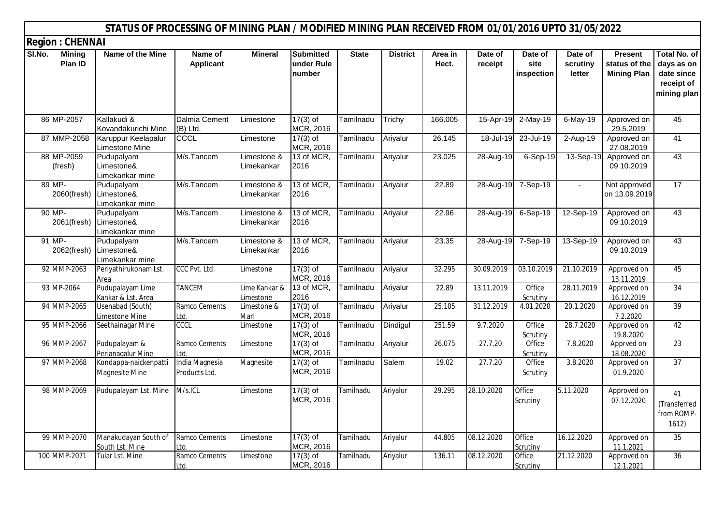|        |                          | STATUS OF PROCESSING OF MINING PLAN / MODIFIED MINING PLAN RECEIVED FROM 01/01/2016 UPTO 31/05/2022 |                                  |                            |                                          |              |                 |                  |                    |                               |                               |                                                       |                                                                              |
|--------|--------------------------|-----------------------------------------------------------------------------------------------------|----------------------------------|----------------------------|------------------------------------------|--------------|-----------------|------------------|--------------------|-------------------------------|-------------------------------|-------------------------------------------------------|------------------------------------------------------------------------------|
|        | <b>Region: CHENNAI</b>   |                                                                                                     |                                  |                            |                                          |              |                 |                  |                    |                               |                               |                                                       |                                                                              |
| SI.No. | <b>Mining</b><br>Plan ID | Name of the Mine                                                                                    | Name of<br><b>Applicant</b>      | <b>Mineral</b>             | <b>Submitted</b><br>under Rule<br>number | <b>State</b> | <b>District</b> | Area in<br>Hect. | Date of<br>receipt | Date of<br>site<br>inspection | Date of<br>scrutiny<br>letter | <b>Present</b><br>status of the<br><b>Mining Plan</b> | <b>Total No. of</b><br>days as on<br>date since<br>receipt of<br>mining plan |
|        | 86 MP-2057               | Kallakudi &<br>Kovandakurichi Mine                                                                  | Dalmia Cement<br>(B) Ltd.        | Limestone                  | $17(3)$ of<br>MCR, 2016                  | Tamilnadu    | Trichy          | 166.005          | 15-Apr-19          | $2-May-19$                    | 6-May-19                      | Approved on<br>29.5.2019                              | 45                                                                           |
|        | 87 MMP-2058              | Karuppur Keelapalur<br>Limestone Mine                                                               | <b>CCCL</b>                      | Limestone                  | $17(3)$ of<br>MCR, 2016                  | Tamilnadu    | Ariyalur        | 26.145           | 18-Jul-19          | 23-Jul-19                     | $2-Aug-19$                    | Approved on<br>27.08.2019                             | 41                                                                           |
|        | 88 MP-2059<br>(fresh)    | Pudupalyam<br>Limestone&<br>Limekankar mine                                                         | M/s.Tancem                       | Limestone &<br>Limekankar  | 13 of MCR,<br>2016                       | Tamilnadu    | Ariyalur        | 23.025           | 28-Aug-19          | 6-Sep-19                      | 13-Sep-19                     | Approved on<br>09.10.2019                             | 43                                                                           |
|        | 89 MP-<br>2060(fresh)    | Pudupalyam<br>Limestone&<br>Limekankar mine                                                         | M/s.Tancem                       | Limestone &<br>Limekankar  | 13 of MCR,<br>2016                       | Tamilnadu    | Ariyalur        | 22.89            | 28-Aug-19          | 7-Sep-19                      | $\mathbf{r}$                  | Not approved<br>on 13.09.2019                         | 17                                                                           |
|        | 90 MP-                   | Pudupalyam<br>2061(fresh) Limestone&<br>Limekankar mine                                             | M/s.Tancem                       | Limestone &<br>Limekankar  | 13 of MCR,<br>2016                       | Tamilnadu    | Ariyalur        | 22.96            | 28-Aug-19          | 6-Sep-19                      | 12-Sep-19                     | Approved on<br>09.10.2019                             | 43                                                                           |
|        | 91 MP-                   | Pudupalyam<br>2062(fresh) Limestone&<br>Limekankar mine                                             | M/s.Tancem                       | Limestone &<br>Limekankar  | 13 of MCR.<br>2016                       | Tamilnadu    | Ariyalur        | 23.35            | 28-Aug-19          | 7-Sep-19                      | 13-Sep-19                     | Approved on<br>09.10.2019                             | 43                                                                           |
|        | 92 MMP-2063              | Periyathirukonam Lst.<br>Area                                                                       | CCC Pvt. Ltd.                    | Limestone                  | $17(3)$ of<br>MCR, 2016                  | Tamilnadu    | Ariyalur        | 32.295           | 30.09.2019         | 03.10.2019                    | 21.10.2019                    | Approved on<br>13.11.2019                             | 45                                                                           |
|        | 93 MP-2064               | Pudupalayam Lime<br>Kankar & Lst. Area                                                              | <b>TANCEM</b>                    | Lime Kankar &<br>Limestone | 13 of MCR,<br>2016                       | Tamilnadu    | Ariyalur        | 22.89            | 13.11.2019         | Office<br>Scrutiny            | 28.11.2019                    | Approved on<br>16.12.2019                             | 34                                                                           |
|        | 94 MMP-2065              | Usenabad (South)<br>imestone Mine                                                                   | Ramco Cements<br>Ltd.            | Limestone &<br>Marl        | $17(3)$ of<br>MCR, 2016                  | Tamilnadu    | Ariyalur        | 25.105           | 31.12.2019         | 4.01.2020                     | 20.1.2020                     | Approved on<br>7.2.2020                               | 39                                                                           |
|        | 95 MMP-2066              | Seethainagar Mine                                                                                   | <b>CCCL</b>                      | Limestone                  | $17(3)$ of<br>MCR, 2016                  | Tamilnadu    | Dindigul        | 251.59           | 9.7.2020           | Office<br>Scrutiny            | 28.7.2020                     | Approved on<br>19.8.2020                              | 42                                                                           |
|        | 96 MMP-2067              | Pudupalayam &<br>Perianagalur Mine                                                                  | Ramco Cements<br>L <sub>td</sub> | Limestone                  | $17(3)$ of<br>MCR, 2016                  | Tamilnadu    | Ariyalur        | 26.075           | 27.7.20            | Office<br>Scrutiny            | 7.8.2020                      | Apprved on<br>18.08.2020                              | 23                                                                           |
|        | 97 MMP-2068              | Kondappa-naickenpatti<br>Magnesite Mine                                                             | India Magnesia<br>Products Ltd.  | Magnesite                  | $17(3)$ of<br>MCR, 2016                  | Tamilnadu    | Salem           | 19.02            | 27.7.20            | Office<br>Scrutiny            | 3.8.2020                      | Approved on<br>01.9.2020                              | 37                                                                           |
|        | 98 MMP-2069              | Pudupalayam Lst. Mine                                                                               | M/s.ICL                          | Limestone                  | $17(3)$ of<br>MCR, 2016                  | Tamilnadu    | Ariyalur        | 29.295           | 28.10.2020         | Office<br>Scrutiny            | 5.11.2020                     | Approved on<br>07.12.2020                             | 41<br>(Transferred<br>from ROMP-<br>1612)                                    |
|        | 99 MMP-2070              | Manakudayan South of<br>South Lst. Mine                                                             | Ramco Cements<br>ht I            | Limestone                  | $17(3)$ of<br>MCR, 2016                  | Tamilnadu    | Ariyalur        | 44.805           | 08.12.2020         | Office<br>Scrutiny            | 16.12.2020                    | Approved on<br>11.1.2021                              | $\overline{35}$                                                              |
|        | 100 MMP-2071             | Tular Lst. Mine                                                                                     | Ramco Cements<br>Ltd.            | Limestone                  | $17(3)$ of<br>MCR, 2016                  | Tamilnadu    | Ariyalur        | 136.11           | 08.12.2020         | Office<br>Scrutiny            | 21.12.2020                    | Approved on<br>12.1.2021                              | 36                                                                           |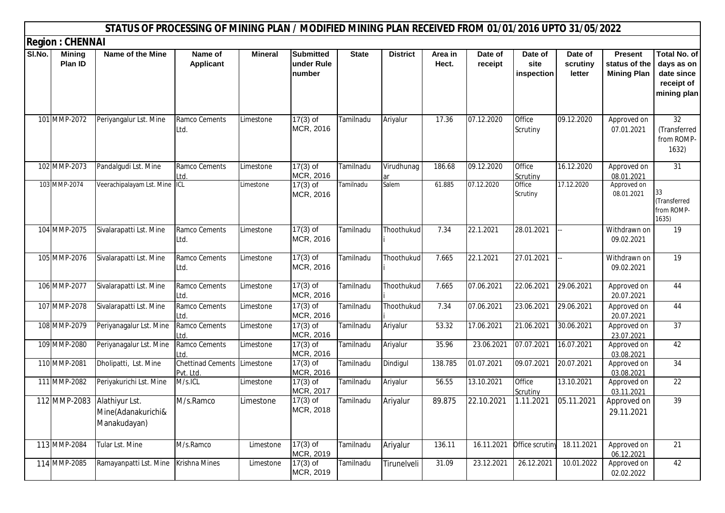|        |                          | STATUS OF PROCESSING OF MINING PLAN / MODIFIED MINING PLAN RECEIVED FROM 01/01/2016 UPTO 31/05/2022 |                                          |                |                                          |              |                  |                  |                    |                               |                               |                                                       |                                                                              |
|--------|--------------------------|-----------------------------------------------------------------------------------------------------|------------------------------------------|----------------|------------------------------------------|--------------|------------------|------------------|--------------------|-------------------------------|-------------------------------|-------------------------------------------------------|------------------------------------------------------------------------------|
|        | <b>Region: CHENNAI</b>   |                                                                                                     |                                          |                |                                          |              |                  |                  |                    |                               |                               |                                                       |                                                                              |
| SI.No. | <b>Mining</b><br>Plan ID | Name of the Mine                                                                                    | Name of<br><b>Applicant</b>              | <b>Mineral</b> | <b>Submitted</b><br>under Rule<br>number | <b>State</b> | <b>District</b>  | Area in<br>Hect. | Date of<br>receipt | Date of<br>site<br>inspection | Date of<br>scrutiny<br>letter | <b>Present</b><br>status of the<br><b>Mining Plan</b> | <b>Total No. of</b><br>days as on<br>date since<br>receipt of<br>mining plan |
|        | 101 MMP-2072             | Periyangalur Lst. Mine                                                                              | Ramco Cements<br>Ltd.                    | Limestone      | $17(3)$ of<br>MCR, 2016                  | Tamilnadu    | Ariyalur         | 17.36            | 07.12.2020         | Office<br>Scrutiny            | 09.12.2020                    | Approved on<br>07.01.2021                             | $\overline{32}$<br>(Transferred<br>from ROMP-<br>1632)                       |
|        | 102 MMP-2073             | Pandalgudi Lst. Mine                                                                                | Ramco Cements<br><u>Ltd.</u>             | Limestone      | $17(3)$ of<br>MCR, 2016                  | Tamilnadu    | Virudhunag<br>ar | 186.68           | 09.12.2020         | Office<br>Scrutiny            | 16.12.2020                    | Approved on<br>08.01.2021                             | $\overline{31}$                                                              |
|        | 103 MMP-2074             | Veerachipalayam Lst. Mine ICL                                                                       |                                          | Limestone      | $17(3)$ of<br>MCR, 2016                  | Tamilnadu    | Salem            | 61.885           | 07.12.2020         | Office<br>Scrutiny            | 17.12.2020                    | Approved on<br>08.01.2021                             | 33<br>(Transferred<br>from ROMP-<br>1635)                                    |
|        | 104 MMP-2075             | Sivalarapatti Lst. Mine                                                                             | Ramco Cements<br>Ltd.                    | Limestone      | $17(3)$ of<br>MCR, 2016                  | Tamilnadu    | Thoothukud       | 7.34             | 22.1.2021          | 28.01.2021                    |                               | Withdrawn on<br>09.02.2021                            | $\overline{19}$                                                              |
|        | 105 MMP-2076             | Sivalarapatti Lst. Mine                                                                             | Ramco Cements<br>Ltd.                    | Limestone      | $17(3)$ of<br>MCR, 2016                  | Tamilnadu    | Thoothukud       | 7.665            | 22.1.2021          | 27.01.2021                    |                               | Withdrawn on<br>09.02.2021                            | $\overline{19}$                                                              |
|        | 106 MMP-2077             | Sivalarapatti Lst. Mine                                                                             | Ramco Cements<br>Ltd.                    | Limestone      | $17(3)$ of<br>MCR, 2016                  | Tamilnadu    | Thoothukud       | 7.665            | 07.06.2021         | 22.06.2021                    | 29.06.2021                    | Approved on<br>20.07.2021                             | 44                                                                           |
|        | 107 MMP-2078             | Sivalarapatti Lst. Mine                                                                             | Ramco Cements<br>Ltd.                    | Limestone      | $17(3)$ of<br>MCR, 2016                  | Tamilnadu    | Thoothukud       | 7.34             | 07.06.2021         | 23.06.2021                    | 29.06.2021                    | Approved on<br>20.07.2021                             | 44                                                                           |
|        | 108 MMP-2079             | Periyanagalur Lst. Mine                                                                             | Ramco Cements<br>Ltd.                    | Limestone      | $17(3)$ of<br>MCR, 2016                  | Tamilnadu    | Ariyalur         | 53.32            | 17.06.2021         | 21.06.2021                    | 30.06.2021                    | Approved on<br>23.07.2021                             | 37                                                                           |
|        | 109 MMP-2080             | Periyanagalur Lst. Mine                                                                             | Ramco Cements<br>∟td.                    | Limestone      | $17(3)$ of<br>MCR, 2016                  | Tamilnadu    | Ariyalur         | 35.96            | 23.06.2021         | 07.07.2021                    | 16.07.2021                    | Approved on<br>03.08.2021                             | 42                                                                           |
|        | 110 MMP-2081             | Dholipatti, Lst. Mine                                                                               | Chettinad Cements Limestone<br>Pvt. Ltd. |                | $17(3)$ of<br>MCR, 2016                  | Tamilnadu    | Dindigul         | 138.785          | 01.07.2021         | 09.07.2021                    | 20.07.2021                    | Approved on<br>03.08.2021                             | 34                                                                           |
|        | 111 MMP-2082             | Periyakurichi Lst. Mine                                                                             | M/s.ICL                                  | Limestone      | $17(3)$ of<br>MCR, 2017                  | Tamilnadu    | Ariyalur         | 56.55            | 13.10.2021         | Office<br>Scrutiny            | 13.10.2021                    | Approved on<br>03.11.2021                             | 22                                                                           |
|        |                          | 112 MMP-2083 Alathiyur Lst.<br>Mine(Adanakurichi&<br>Manakudayan)                                   | M/s.Ramco                                | Limestone      | $17(3)$ of<br>MCR, 2018                  | Tamilnadu    | Ariyalur         | 89.875           | 22.10.2021         | 1.11.2021                     | 05.11.2021                    | Approved on<br>29.11.2021                             | 39                                                                           |
|        | 113 MMP-2084             | Tular Lst. Mine                                                                                     | M/s.Ramco                                | Limestone      | $17(3)$ of<br>MCR, 2019                  | Tamilnadu    | Ariyalur         | 136.11           | 16.11.2021         | Office scrutiny               | 18.11.2021                    | Approved on<br>06.12.2021                             | $\overline{21}$                                                              |
|        | 114 MMP-2085             | Ramayanpatti Lst. Mine                                                                              | Krishna Mines                            | Limestone      | $17(3)$ of<br>MCR, 2019                  | Tamilnadu    | Tirunelveli      | 31.09            | 23.12.2021         | 26.12.2021                    | 10.01.2022                    | Approved on<br>02.02.2022                             | 42                                                                           |